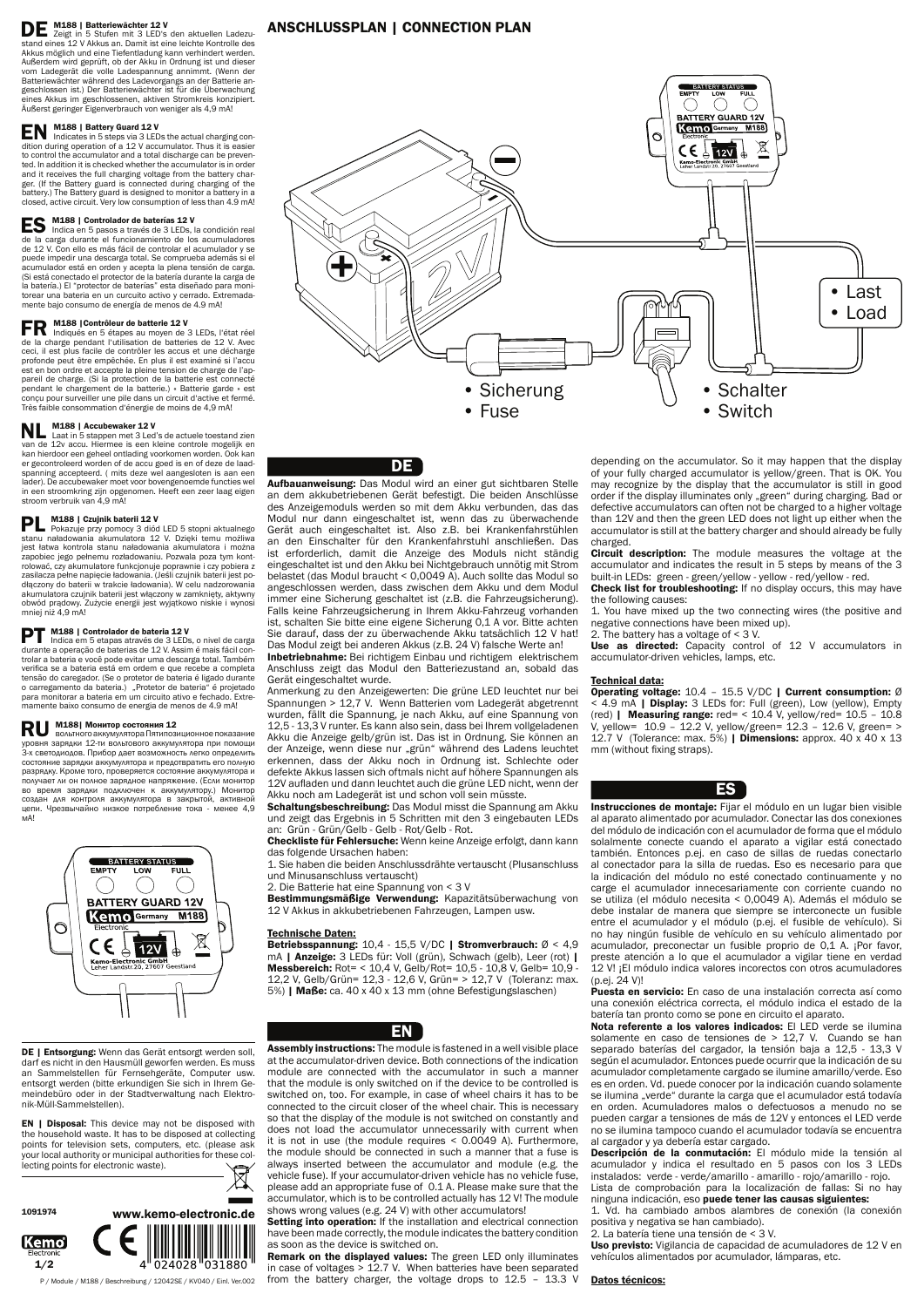# DE M188 | Batteriewächter 12 V

Zeigt in 5 Stufen mit 3 LED's den aktuellen Ladezustand eines 12 V Akkus an. Damit ist eine leichte Kontrolle des Akkus möglich und eine Tiefentladung kann verhindert werden. Außerdem wird geprüft, ob der Akku in Ordnung ist und dieser vom Ladegerät die volle Ladespannung annimmt. (Wenn der Batteriewächter während des Ladevorgangs an der Batterie angeschlossen ist.) Der Batteriewächter ist für die Überwachung eines Akkus im geschlossenen, aktiven Stromkreis konzipiert. Äußerst geringer Eigenverbrauch von weniger als 4,9 mA!

**EN M188 | Battery Guard 12 V**<br>dition during consistents in 5 steps via 3 LEDs the actual charging con-<br>dition during consistents in the action dition during operation of a 12 V accumulator. Thus it is easier to control the accumulator and a total discharge can be prevented. In addition it is checked whether the accumulator is in order and it receives the full charging voltage from the battery charger. (If the Battery guard is connected during charging of the battery.) The Battery guard is designed to monitor a battery in a closed, active circuit. Very low consumption of less than 4.9 mA!

**ES M188** | Controlador de baterías 12 V<br> **Indica** en 5 pasos a través de 3 LEDs, la condición real de la carga durante el funcionamiento de los acumuladores de 12 V. Con ello es más fácil de controlar el acumulador y se puede impedir una descarga total. Se comprueba además si el acumulador está en orden y acepta la plena tensión de carga. (Si está conectado el protector de la batería durante la carga de la batería.) El "protector de baterías" esta diseñado para monitorear una bateria en un curcuito activo y cerrado. Extremadamente bajo consumo de energía de menos de 4.9 mA!

FR M188 | Contrôleur de batterie 12 V<br>
Indiqués en 5 étapes au moyen de 3 LEDs, l'état réel<br>
Alexander de la de 12 V Avec de la charge pendant l'utilisation de batteries de 12 V. Avec ceci, il est plus facile de contrôler les accus et une décharge profonde peut être empêchée. En plus il est examiné si l'accu est en bon ordre et accepte la pleine tension de charge de l'appareil de charge. (Si la protection de la batterie est connecté pendant le chargement de la batterie.) « Batterie garde » est conçu pour surveiller une pile dans un circuit d'active et fermé. Très faible consommation d'énergie de moins de 4,9 mA!

**NL M188 | Accubewaker 12 V**<br>
Laat in 5 stappen met 3 Led's de actuele toestand zien<br>
Web actual metallitude van de 12v accu. Hiermee is een kleine controle mogelijk en kan hierdoor een geheel ontlading voorkomen worden. Ook kan er gecontroleerd worden of de accu goed is en of deze de laadspanning accepteerd. ( mits deze wel aangesloten is aan een lader). De accubewaker moet voor bovengenoemde functies wel in een stroomkring zijn opgenomen. Heeft een zeer laag eigen stroom verbruik van 4,9 mA!

**PL M188 | Czujnik baterii 12 V**<br>Pokazuje przy pomocy 3 diód LED 5 stopni aktualnego stanu naładowania akumulatora 12 V. Dzięki temu możliwa jest łatwa kontrola stanu naładowania akumulatora i można zapobiec jego pełnemu rozładowaniu. Pozwala poza tym kontrolować, czy akumulatore funkcjonuje poprawnie i czy pobiera z zasilacza pełne napięcie ładowania. (Jeśli czujnik baterii jest podłączony do baterii w trakcie ładowania). W celu nadzorowania akumulatora czujnik baterii jest włączony w zamknięty, aktywny obwód prądowy. Zużycie energii jest wyjątkowo niskie i wynosi mniej niż 4,9 mA!

**PT M188 | Controlador de bateria 12 V**<br>diversita em 5 etapas através de 3 LEDs, o nivel de carga<br>diversita em 5 eta bateria de 42 V Accina é mais féciles durante a operação de baterias de 12 V. Assim é mais fácil controlar a bateria e você pode evitar uma descarga total. Também verifica se a bateria está em ordem e que recebe a completa tensão do caregador. (Se o protetor de bateria é ligado durante o carregamento da bateria.) "Protetor de bateria" é projetado para monitorar a bateria em um circuito ativo e fechado. Extremamente baixo consumo de energia de menos de 4.9 mA!

RU M188| Монитор состояния 12<br>вольтного аккумулятора Пятипозиционное показание уровня зарядки 12-ти вольтового аккумулятора при помощи 3-х светодиодов. Прибор дaeт возможность лeгко определить состояние зарядки aккумуляторa и прeдотврaтить его полную разрядку. Кромe того, проверяется состояние аккумулятора и получaeт ли он полноe зaрядноe нaпряжeниe. (Eсли монитор во время зарядки подключен к аккумулятору.) Монитор создан для контроля аккумулятора в закрытой, активной цепи. Чрезвычайно низкое потребление тока - менее 4,9 мА!



Bestimmungsmäßige Verwendung: Kapazitätsüberwachung von 12 V Akkus in akkubetriebenen Fahrzeugen, Lampen usw.

Assembly instructions: The module is fastened in a well visible place at the accumulator-driven device. Both connections of the indication module are connected with the accumulator in such a manner that the module is only switched on if the device to be controlled is switched on, too. For example, in case of wheel chairs it has to be connected to the circuit closer of the wheel chair. This is necessary so that the display of the module is not switched on constantly and does not load the accumulator unnecessarily with current when it is not in use (the module requires < 0.0049 A). Furthermore, the module should be connected in such a manner that a fuse is always inserted between the accumulator and module (e.g. the vehicle fuse). If your accumulator-driven vehicle has no vehicle fuse, please add an appropriate fuse of 0.1 A. Please make sure that the accumulator, which is to be controlled actually has 12 V! The module shows wrong values (e.g. 24 V) with other accumulators! Setting into operation: If the installation and electrical connection

Remark on the displayed values: The green LED only illuminates in case of voltages > 12.7 V. When batteries have been separated from the battery charger, the voltage drops to 12.5 – 13.3 V

DE | Entsorgung: Wenn das Gerät entsorgt werden soll, darf es nicht in den Hausmüll geworfen werden. Es muss an Sammelstellen für Fernsehgeräte, Computer usw. entsorgt werden (bitte erkundigen Sie sich in Ihrem Gemeindebüro oder in der Stadtverwaltung nach Elektronik-Müll-Sammelstellen).



P / Module / M188 / Beschreibung / 12042SE / KV040 / Einl. Ver.002

DE

**EN** | Disposal: This device may not be disposed with the household waste. It has to be disposed at collecting points for television sets, computers, etc. (please ask your local authority or municipal authorities for these collecting points for electronic waste).

Circuit description: The module measures the voltage at the accumulator and indicates the result in 5 steps by means of the 3 built-in LEDs: green - green/yellow - yellow - red/yellow - red.

Check list for troubleshooting: If no display occurs, this may have the following causes:

Aufbauanweisung: Das Modul wird an einer gut sichtbaren Stelle an dem akkubetriebenen Gerät befestigt. Die beiden Anschlüsse des Anzeigemoduls werden so mit dem Akku verbunden, das das Modul nur dann eingeschaltet ist, wenn das zu überwachende Gerät auch eingeschaltet ist. Also z.B. bei Krankenfahrstühlen an den Einschalter für den Krankenfahrstuhl anschließen. Das ist erforderlich, damit die Anzeige des Moduls nicht ständig eingeschaltet ist und den Akku bei Nichtgebrauch unnötig mit Strom belastet (das Modul braucht < 0,0049 A). Auch sollte das Modul so angeschlossen werden, dass zwischen dem Akku und dem Modul immer eine Sicherung geschaltet ist (z.B. die Fahrzeugsicherung). Falls keine Fahrzeugsicherung in Ihrem Akku-Fahrzeug vorhanden ist, schalten Sie bitte eine eigene Sicherung 0,1 A vor. Bitte achten Sie darauf, dass der zu überwachende Akku tatsächlich 12 V hat! Das Modul zeigt bei anderen Akkus (z.B. 24 V) falsche Werte an!

Use as directed: Capacity control of 12 V accumulators in accumulator-driven vehicles, lamps, etc.

Inbetriebnahme: Bei richtigem Einbau und richtigem elektrischem Anschluss zeigt das Modul den Batteriezustand an, sobald das Gerät eingeschaltet wurde.

> Instrucciones de montaje: Fijar el módulo en un lugar bien visible al aparato alimentado por acumulador. Conectar las dos conexiones del módulo de indicación con el acumulador de forma que el módulo solalmente conecte cuando el aparato a vigilar está conectado también. Entonces p.ej. en caso de sillas de ruedas conectarlo al conectador para la silla de ruedas. Eso es necesario para que la indicación del módulo no esté conectado continuamente y no carge el acumulador innecesariamente con corriente cuando no se utiliza (el módulo necesita < 0,0049 A). Además el módulo se debe instalar de manera que siempre se interconecte un fusible entre el acumulador y el módulo (p.ej. el fusible de vehículo). Si no hay ningún fusible de vehículo en su vehículo alimentado por acumulador, preconectar un fusible proprio de 0,1 A. ¡Por favor, preste atención a lo que el acumulador a vigilar tiene en verdad 12 V! ¡El módulo indica valores incorectos con otros acumuladores (p.ej. 24 V)!

Anmerkung zu den Anzeigewerten: Die grüne LED leuchtet nur bei Spannungen > 12,7 V. Wenn Batterien vom Ladegerät abgetrennt wurden, fällt die Spannung, je nach Akku, auf eine Spannung von 12,5 - 13,3 V runter. Es kann also sein, dass bei Ihrem vollgeladenen Akku die Anzeige gelb/grün ist. Das ist in Ordnung. Sie können an der Anzeige, wenn diese nur "grün" während des Ladens leuchtet erkennen, dass der Akku noch in Ordnung ist. Schlechte oder defekte Akkus lassen sich oftmals nicht auf höhere Spannungen als 12V aufladen und dann leuchtet auch die grüne LED nicht, wenn der Akku noch am Ladegerät ist und schon voll sein müsste.

Schaltungsbeschreibung: Das Modul misst die Spannung am Akku und zeigt das Ergebnis in 5 Schritten mit den 3 eingebauten LEDs an: Grün - Grün/Gelb - Gelb - Rot/Gelb - Rot.

> Puesta en servicio: En caso de una instalación correcta así como una conexión eléctrica correcta, el módulo indica el estado de la batería tan pronto como se pone en circuito el aparato. Nota referente a los valores indicados: El LED verde se ilumina solamente en caso de tensiones de > 12,7 V. Cuando se han separado baterías del cargador, la tensión baja a 12,5 - 13,3 V según el acumulador. Entonces puede ocurrir que la indicación de su acumulador completamente cargado se ilumine amarillo/verde. Eso es en orden. Vd. puede conocer por la indicación cuando solamente se ilumina "verde" durante la carga que el acumulador está todavía en orden. Acumuladores malos o defectuosos a menudo no se pueden cargar a tensiones de más de 12V y entonces el LED verde no se ilumina tampoco cuando el acumulador todavía se encuentra al cargador y ya debería estar cargado. Descripción de la conmutación: El módulo mide la tensión al acumulador y indica el resultado en 5 pasos con los 3 LEDs instalados: verde - verde/amarillo - amarillo - rojo/amarillo - rojo. Lista de comprobación para la localización de fallas: Si no hay ninguna indicación, eso puede tener las causas siguientes: 1. Vd. ha cambiado ambos alambres de conexión (la conexión positiva y negativa se han cambiado).

> Uso previsto: Vigilancia de capacidad de acumuladores de 12 V en vehículos alimentados por acumulador, lámparas, etc.

### **Datos técnicos:**

Checkliste für Fehlersuche: Wenn keine Anzeige erfolgt, dann kann das folgende Ursachen haben:

1. Sie haben die beiden Anschlussdrähte vertauscht (Plusanschluss und Minusanschluss vertauscht)

2. Die Batterie hat eine Spannung von < 3 V

### Technische Daten:

Betriebsspannung: 10,4 - 15,5 V/DC | Stromverbrauch: Ø < 4,9 mA | Anzeige: 3 LEDs für: Voll (grün), Schwach (gelb), Leer (rot) | Messbereich: Rot= < 10,4 V, Gelb/Rot= 10,5 - 10,8 V, Gelb= 10,9 - 12,2 V, Gelb/Grün= 12,3 - 12,6 V, Grün= > 12,7 V (Toleranz: max. 5%) | Maße: ca. 40 x 40 x 13 mm (ohne Befestigungslaschen)



have been made correctly, the module indicates the battery condition as soon as the device is switched on.

depending on the accumulator. So it may happen that the display of your fully charged accumulator is yellow/green. That is OK. You may recognize by the display that the accumulator is still in good order if the display illuminates only "green" during charging. Bad or defective accumulators can often not be charged to a higher voltage than 12V and then the green LED does not light up either when the accumulator is still at the battery charger and should already be fully charged.

1. You have mixed up the two connecting wires (the positive and negative connections have been mixed up).

2. The battery has a voltage of < 3 V.

### Technical data:

Operating voltage: 10.4 – 15.5 V/DC | Current consumption: Ø < 4.9 mA | Display: 3 LEDs for: Full (green), Low (yellow), Empty (red) | Measuring range:  $red = < 10.4$  V, yellow/red=  $10.5 - 10.8$ V, yellow= 10.9 – 12.2 V, yellow/green= 12.3 – 12.6 V, green= > 12.7 V (Tolerance: max. 5%) | Dimensions: approx. 40 x 40 x 13 mm (without fixing straps).

## ES

2. La batería tiene una tensión de < 3 V.



## ANSCHLUSSPLAN | CONNECTION PLAN